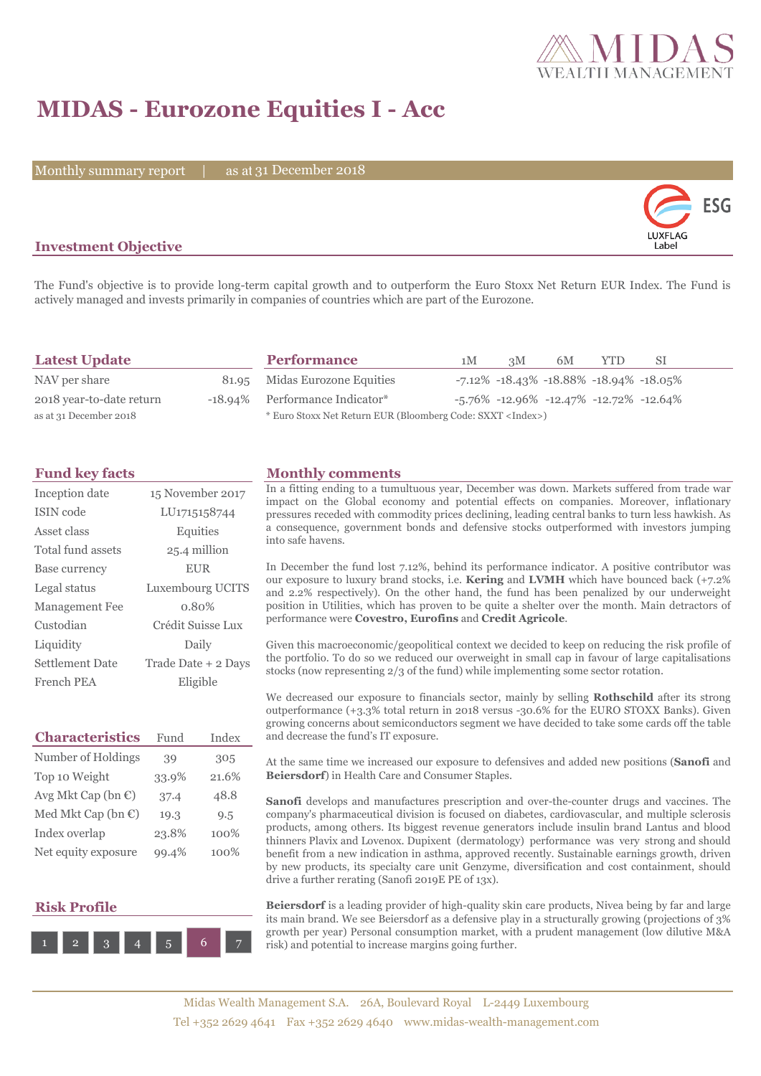

## **MIDAS - Eurozone Equities I - Acc**

Monthly summary report | as at 31 December 2018



## **Investment Objective**

The Fund's objective is to provide long-term capital growth and to outperform the Euro Stoxx Net Return EUR Index. The Fund is actively managed and invests primarily in companies of countries which are part of the Eurozone.

| <b>Latest Update</b>     | <b>Performance</b>                                                 | 1M | 3M | 6M | <b>YTD</b> | -SI                                           |  |
|--------------------------|--------------------------------------------------------------------|----|----|----|------------|-----------------------------------------------|--|
| NAV per share            | 81.95 Midas Eurozone Equities                                      |    |    |    |            | $-7.12\% -18.43\% -18.88\% -18.94\% -18.05\%$ |  |
| 2018 year-to-date return | -18.94% Performance Indicator*                                     |    |    |    |            | $-5.76\%$ -12.96% -12.47% -12.72% -12.64%     |  |
| as at 31 December 2018   | * Euro Stoxx Net Return EUR (Bloomberg Code: SXXT <index>)</index> |    |    |    |            |                                               |  |

| Inception date         | 15 November 2017          |
|------------------------|---------------------------|
| ISIN code              | LU <sub>171515</sub> 8744 |
| Asset class            | Equities                  |
| Total fund assets      | 25.4 million              |
| Base currency          | <b>EUR</b>                |
| Legal status           | Luxembourg UCITS          |
| <b>Management</b> Fee  | 0.80%                     |
| Custodian              | Crédit Suisse Lux         |
| Liquidity              | Daily                     |
| <b>Settlement Date</b> | Trade Date + 2 Days       |
| French PEA             | Eligible                  |

| <b>Characteristics</b>         | Fund  | Index |
|--------------------------------|-------|-------|
| Number of Holdings             | 39    | 305   |
| Top 10 Weight                  | 33.9% | 21.6% |
| Avg Mkt Cap (bn €)             | 37.4  | 48.8  |
| Med Mkt Cap (bn $\mathbb{C}$ ) | 19.3  | 9.5   |
| Index overlap                  | 23.8% | 100%  |
| Net equity exposure            | 99.4% | 100%  |

## **Risk Profile**



#### **Fund key facts Monthly comments**

In a fitting ending to a tumultuous year, December was down. Markets suffered from trade war impact on the Global economy and potential effects on companies. Moreover, inflationary pressures receded with commodity prices declining, leading central banks to turn less hawkish. As a consequence, government bonds and defensive stocks outperformed with investors jumping into safe havens.

In December the fund lost 7.12%, behind its performance indicator. A positive contributor was our exposure to luxury brand stocks, i.e. **Kering** and **LVMH** which have bounced back (+7.2% and 2.2% respectively). On the other hand, the fund has been penalized by our underweight position in Utilities, which has proven to be quite a shelter over the month. Main detractors of performance were **Covestro, Eurofins** and **Credit Agricole**.

Given this macroeconomic/geopolitical context we decided to keep on reducing the risk profile of the portfolio. To do so we reduced our overweight in small cap in favour of large capitalisations stocks (now representing 2/3 of the fund) while implementing some sector rotation.

We decreased our exposure to financials sector, mainly by selling **Rothschild** after its strong outperformance (+3.3% total return in 2018 versus -30.6% for the EURO STOXX Banks). Given growing concerns about semiconductors segment we have decided to take some cards off the table and decrease the fund's IT exposure.

At the same time we increased our exposure to defensives and added new positions (**Sanofi** and **Beiersdorf**) in Health Care and Consumer Staples.

**Sanofi** develops and manufactures prescription and over-the-counter drugs and vaccines. The company's pharmaceutical division is focused on diabetes, cardiovascular, and multiple sclerosis products, among others. Its biggest revenue generators include insulin brand Lantus and blood thinners Plavix and Lovenox. Dupixent (dermatology) performance was very strong and should benefit from a new indication in asthma, approved recently. Sustainable earnings growth, driven by new products, its specialty care unit Genzyme, diversification and cost containment, should drive a further rerating (Sanofi 2019E PE of 13x).

**Beiersdorf** is a leading provider of high-quality skin care products, Nivea being by far and large its main brand. We see Beiersdorf as a defensive play in a structurally growing (projections of 3% growth per year) Personal consumption market, with a prudent management (low dilutive M&A risk) and potential to increase margins going further.